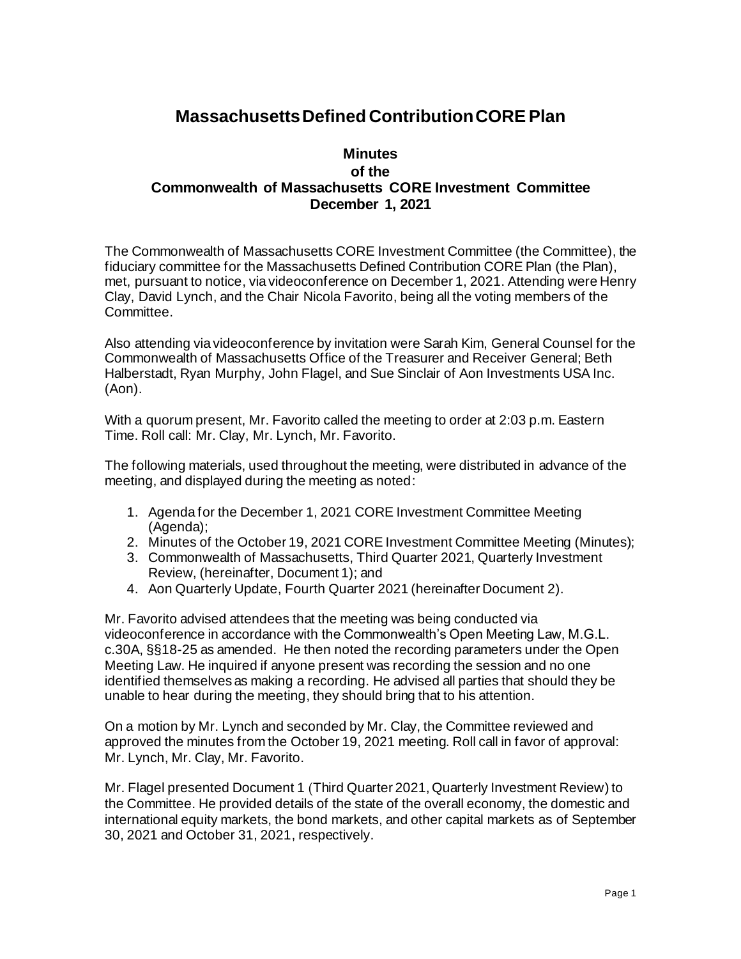## **Massachusetts Defined Contribution CORE Plan**

## **Minutes of the Commonwealth of Massachusetts CORE Investment Committee December 1, 2021**

The Commonwealth of Massachusetts CORE Investment Committee (the Committee), the fiduciary committee for the Massachusetts Defined Contribution CORE Plan (the Plan), met, pursuant to notice, via videoconference on December 1, 2021. Attending were Henry Clay, David Lynch, and the Chair Nicola Favorito, being all the voting members of the Committee.

Also attending via videoconference by invitation were Sarah Kim, General Counsel for the Commonwealth of Massachusetts Office of the Treasurer and Receiver General; Beth Halberstadt, Ryan Murphy, John Flagel, and Sue Sinclair of Aon Investments USA Inc. (Aon).

With a quorum present, Mr. Favorito called the meeting to order at 2:03 p.m. Eastern Time. Roll call: Mr. Clay, Mr. Lynch, Mr. Favorito.

The following materials, used throughout the meeting, were distributed in advance of the meeting, and displayed during the meeting as noted:

- 1. Agenda for the December 1, 2021 CORE Investment Committee Meeting (Agenda);
- 2. Minutes of the October 19, 2021 CORE Investment Committee Meeting (Minutes);
- 3. Commonwealth of Massachusetts, Third Quarter 2021, Quarterly Investment Review, (hereinafter, Document 1); and
- 4. Aon Quarterly Update, Fourth Quarter 2021 (hereinafter Document 2).

Mr. Favorito advised attendees that the meeting was being conducted via videoconference in accordance with the Commonwealth's Open Meeting Law, M.G.L. c.30A, §§18-25 as amended. He then noted the recording parameters under the Open Meeting Law. He inquired if anyone present was recording the session and no one identified themselves as making a recording. He advised all parties that should they be unable to hear during the meeting, they should bring that to his attention.

On a motion by Mr. Lynch and seconded by Mr. Clay, the Committee reviewed and approved the minutes from the October 19, 2021 meeting. Roll call in favor of approval: Mr. Lynch, Mr. Clay, Mr. Favorito.

Mr. Flagel presented Document 1 (Third Quarter 2021, Quarterly Investment Review) to the Committee. He provided details of the state of the overall economy, the domestic and international equity markets, the bond markets, and other capital markets as of September 30, 2021 and October 31, 2021, respectively.